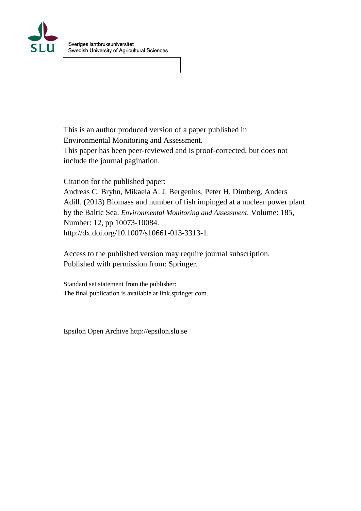

This is an author produced version of a paper published in Environmental Monitoring and Assessment. This paper has been peer-reviewed and is proof-corrected, but does not include the journal pagination.

Citation for the published paper: Andreas C. Bryhn, Mikaela A. J. Bergenius, Peter H. Dimberg, Anders Adill. (2013) Biomass and number of fish impinged at a nuclear power plant by the Baltic Sea. *Environmental Monitoring and Assessment*. Volume: 185, Number: 12, pp 10073-10084. http://dx.doi.org/10.1007/s10661-013-3313-1.

Access to the published version may require journal subscription. Published with permission from: Springer.

Standard set statement from the publisher: The final publication is available at link.springer.com.

Epsilon Open Archive http://epsilon.slu.se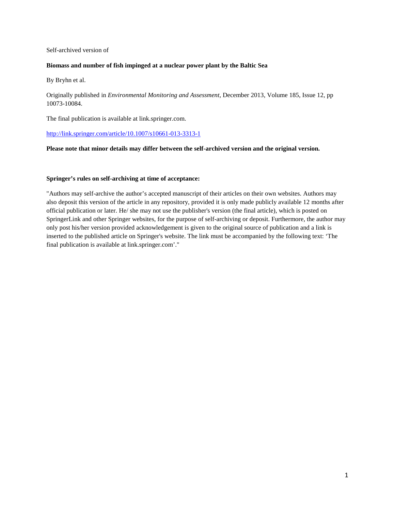# Self-archived version of

### **Biomass and number of fish impinged at a nuclear power plant by the Baltic Sea**

By Bryhn et al.

Originally published in *Environmental Monitoring and Assessment*, December 2013, Volume 185, Issue 12, pp 10073-10084.

The final publication is available at link.springer.com.

<http://link.springer.com/article/10.1007/s10661-013-3313-1>

## **Please note that minor details may differ between the self-archived version and the original version.**

## **Springer's rules on self-archiving at time of acceptance:**

"Authors may self-archive the author's accepted manuscript of their articles on their own websites. Authors may also deposit this version of the article in any repository, provided it is only made publicly available 12 months after official publication or later. He/ she may not use the publisher's version (the final article), which is posted on SpringerLink and other Springer websites, for the purpose of self-archiving or deposit. Furthermore, the author may only post his/her version provided acknowledgement is given to the original source of publication and a link is inserted to the published article on Springer's website. The link must be accompanied by the following text: 'The final publication is available at link.springer.com'."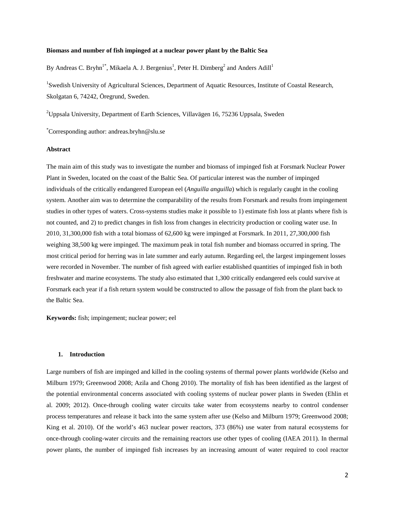#### **Biomass and number of fish impinged at a nuclear power plant by the Baltic Sea**

By Andreas C. Bryhn<sup>1\*</sup>, Mikaela A. J. Bergenius<sup>1</sup>, Peter H. Dimberg<sup>2</sup> and Anders Adill<sup>1</sup>

<sup>1</sup>Swedish University of Agricultural Sciences, Department of Aquatic Resources, Institute of Coastal Research, Skolgatan 6, 74242, Öregrund, Sweden.

 $^{2}$ Uppsala University, Department of Earth Sciences, Villavägen 16, 75236 Uppsala, Sweden

\* Corresponding author: andreas.bryhn@slu.se

### **Abstract**

The main aim of this study was to investigate the number and biomass of impinged fish at Forsmark Nuclear Power Plant in Sweden, located on the coast of the Baltic Sea. Of particular interest was the number of impinged individuals of the critically endangered European eel (*Anguilla anguilla*) which is regularly caught in the cooling system. Another aim was to determine the comparability of the results from Forsmark and results from impingement studies in other types of waters. Cross-systems studies make it possible to 1) estimate fish loss at plants where fish is not counted, and 2) to predict changes in fish loss from changes in electricity production or cooling water use. In 2010, 31,300,000 fish with a total biomass of 62,600 kg were impinged at Forsmark. In 2011, 27,300,000 fish weighing 38,500 kg were impinged. The maximum peak in total fish number and biomass occurred in spring. The most critical period for herring was in late summer and early autumn. Regarding eel, the largest impingement losses were recorded in November. The number of fish agreed with earlier established quantities of impinged fish in both freshwater and marine ecosystems. The study also estimated that 1,300 critically endangered eels could survive at Forsmark each year if a fish return system would be constructed to allow the passage of fish from the plant back to the Baltic Sea.

**Keywords:** fish; impingement; nuclear power; eel

## **1. Introduction**

Large numbers of fish are impinged and killed in the cooling systems of thermal power plants worldwide (Kelso and Milburn 1979; Greenwood 2008; Azila and Chong 2010). The mortality of fish has been identified as the largest of the potential environmental concerns associated with cooling systems of nuclear power plants in Sweden (Ehlin et al. 2009; 2012). Once-through cooling water circuits take water from ecosystems nearby to control condenser process temperatures and release it back into the same system after use (Kelso and Milburn 1979; Greenwood 2008; King et al. 2010). Of the world's 463 nuclear power reactors, 373 (86%) use water from natural ecosystems for once-through cooling-water circuits and the remaining reactors use other types of cooling (IAEA 2011). In thermal power plants, the number of impinged fish increases by an increasing amount of water required to cool reactor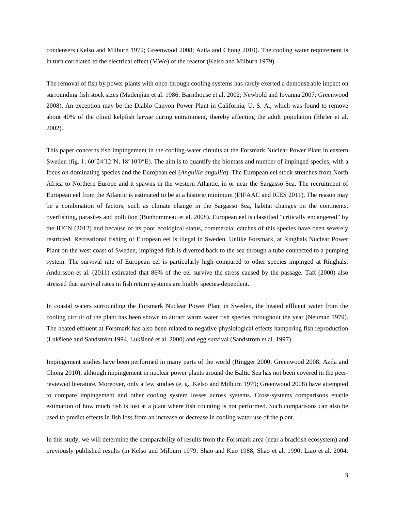condensers (Kelso and Milburn 1979; Greenwood 2008; Azila and Chong 2010). The cooling water requirement is in turn correlated to the electrical effect (MWe) of the reactor (Kelso and Milburn 1979).

The removal of fish by power plants with once-through cooling systems has rarely exerted a demonstrable impact on surrounding fish stock sizes (Madenjian et al. 1986; Barnthouse et al. 2002; Newbold and Iovanna 2007; Greenwood 2008). An exception may be the Diablo Canyon Power Plant in California, U. S. A., which was found to remove about 40% of the clinid kelpfish larvae during entrainment, thereby affecting the adult population (Ehrler et al. 2002).

This paper concerns fish impingement in the cooling-water circuits at the Forsmark Nuclear Power Plant in eastern Sweden (fig. 1;  $60^{\circ}24'12''N$ ,  $18^{\circ}10'0''E$ ). The aim is to quantify the biomass and number of impinged species, with a focus on dominating species and the European eel (*Anguilla anguilla*). The European eel stock stretches from North Africa to Northern Europe and it spawns in the western Atlantic, in or near the Sargasso Sea. The recruitment of European eel from the Atlantic is estimated to be at a historic minimum (EIFAAC and ICES 2011). The reason may be a combination of factors, such as climate change in the Sargasso Sea, habitat changes on the continents, overfishing, parasites and pollution (Bonhommeau et al. 2008). European eel is classified "critically endangered" by the IUCN (2012) and because of its poor ecological status, commercial catches of this species have been severely restricted. Recreational fishing of European eel is illegal in Sweden. Unlike Forsmark, at Ringhals Nuclear Power Plant on the west coast of Sweden, impinged fish is diverted back to the sea through a tube connected to a pumping system. The survival rate of European eel is particularly high compared to other species impinged at Ringhals; Andersson et al. (2011) estimated that 86% of the eel survive the stress caused by the passage. Taft (2000) also stressed that survival rates in fish return systems are highly species-dependent.

In coastal waters surrounding the Forsmark Nuclear Power Plant in Sweden, the heated effluent water from the cooling circuit of the plant has been shown to attract warm water fish species throughout the year (Neuman 1979). The heated effluent at Forsmark has also been related to negative physiological effects hampering fish reproduction (Lukšiené and Sandström 1994, Lukšiené et al. 2000) and egg survival (Sandström et al. 1997).

Impingement studies have been performed in many parts of the world (Ringger 2000; Greenwood 2008; Azila and Chong 2010), although impingement in nuclear power plants around the Baltic Sea has not been covered in the peerreviewed literature. Moreover, only a few studies (e. g., Kelso and Milburn 1979; Greenwood 2008) have attempted to compare impingement and other cooling system losses across systems. Cross-systems comparisons enable estimation of how much fish is lost at a plant where fish counting is not performed. Such comparisons can also be used to predict effects in fish loss from an increase or decrease in cooling water use of the plant.

In this study, we will determine the comparability of results from the Forsmark area (near a brackish ecosystem) and previously published results (in Kelso and Milburn 1979; Shao and Kuo 1988; Shao et al. 1990; Liao et al. 2004;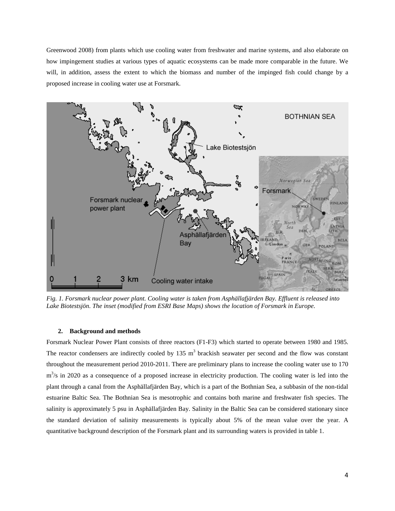Greenwood 2008) from plants which use cooling water from freshwater and marine systems, and also elaborate on how impingement studies at various types of aquatic ecosystems can be made more comparable in the future. We will, in addition, assess the extent to which the biomass and number of the impinged fish could change by a proposed increase in cooling water use at Forsmark.



*Fig. 1. Forsmark nuclear power plant. Cooling water is taken from Asphällafjärden Bay. Effluent is released into Lake Biotestsjön. The inset (modified from ESRI Base Maps) shows the location of Forsmark in Europe.*

### **2. Background and methods**

Forsmark Nuclear Power Plant consists of three reactors (F1-F3) which started to operate between 1980 and 1985. The reactor condensers are indirectly cooled by 135  $\text{m}^3$  brackish seawater per second and the flow was constant throughout the measurement period 2010-2011. There are preliminary plans to increase the cooling water use to 170  $m<sup>3</sup>/s$  in 2020 as a consequence of a proposed increase in electricity production. The cooling water is led into the plant through a canal from the Asphällafjärden Bay, which is a part of the Bothnian Sea, a subbasin of the non-tidal estuarine Baltic Sea. The Bothnian Sea is mesotrophic and contains both marine and freshwater fish species. The salinity is approximately 5 psu in Asphällafjärden Bay. Salinity in the Baltic Sea can be considered stationary since the standard deviation of salinity measurements is typically about 5% of the mean value over the year. A quantitative background description of the Forsmark plant and its surrounding waters is provided in table 1.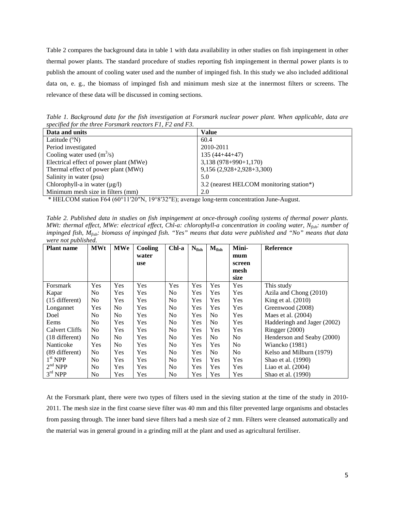Table 2 compares the background data in table 1 with data availability in other studies on fish impingement in other thermal power plants. The standard procedure of studies reporting fish impingement in thermal power plants is to publish the amount of cooling water used and the number of impinged fish. In this study we also included additional data on, e. g., the biomass of impinged fish and minimum mesh size at the innermost filters or screens. The relevance of these data will be discussed in coming sections.

*Table 1. Background data for the fish investigation at Forsmark nuclear power plant. When applicable, data are specified for the three Forsmark reactors F1, F2 and F3.*

| Data and units                         | Value                                    |
|----------------------------------------|------------------------------------------|
| Latitude $(^{\circ}N)$                 | 60.4                                     |
| Period investigated                    | 2010-2011                                |
| Cooling water used $(m^3/s)$           | $135(44+44+47)$                          |
| Electrical effect of power plant (MWe) | $3,138(978+990+1,170)$                   |
| Thermal effect of power plant (MWt)    | $9,156(2,928+2,928+3,300)$               |
| Salinity in water (psu)                | 5.0                                      |
| Chlorophyll-a in water $(\mu g/l)$     | 3.2 (nearest HELCOM monitoring station*) |
| Minimum mesh size in filters (mm)      | 2.0                                      |
|                                        |                                          |

\* HELCOM station F64 (60°11′20″N, 19°8′32″E); average long-term concentration June-August.

*Table 2. Published data in studies on fish impingement at once-through cooling systems of thermal power plants. MWt: thermal effect, MWe: electrical effect, Chl-a: chlorophyll-a concentration in cooling water, Nfish: number of impinged fish, Mfish: biomass of impinged fish. "Yes" means that data were published and "No" means that data were not published.* 

| <b>Plant name</b>   | <b>MWt</b>     | <b>MWe</b> | Cooling    | Chl-a          | $N_{\rm fish}$ | $M_{fish}$     | Mini-          | <b>Reference</b>            |
|---------------------|----------------|------------|------------|----------------|----------------|----------------|----------------|-----------------------------|
|                     |                |            | water      |                |                |                | mum            |                             |
|                     |                |            | <b>use</b> |                |                |                | screen         |                             |
|                     |                |            |            |                |                |                | mesh           |                             |
|                     |                |            |            |                |                |                | size           |                             |
| Forsmark            | Yes            | Yes        | Yes        | Yes            | Yes            | Yes            | Yes            | This study                  |
| Kapar               | No             | Yes        | Yes        | No.            | Yes            | Yes            | Yes            | Azila and Chong (2010)      |
| $(15$ different)    | N <sub>0</sub> | Yes        | <b>Yes</b> | No.            | Yes            | Yes            | Yes            | King et al. (2010)          |
| Longannet           | Yes            | No         | Yes        | No.            | Yes            | Yes            | Yes            | Greenwood (2008)            |
| Doel                | No             | No         | Yes        | No.            | Yes            | N <sub>0</sub> | Yes            | Maes et al. $(2004)$        |
| Eems                | N <sub>0</sub> | Yes        | <b>Yes</b> | N <sub>0</sub> | Yes            | N <sub>0</sub> | Yes            | Hadderingh and Jager (2002) |
| Calvert Cliffs      | N <sub>0</sub> | Yes        | <b>Yes</b> | No.            | Yes            | Yes            | Yes            | Ringger (2000)              |
| $(18$ different)    | N <sub>0</sub> | No.        | Yes        | N <sub>0</sub> | Yes            | N <sub>0</sub> | N <sub>0</sub> | Henderson and Seaby (2000)  |
| Nanticoke           | Yes            | No         | Yes        | N <sub>0</sub> | Yes            | Yes            | N <sub>0</sub> | Wiancko (1981)              |
| (89 different)      | N <sub>0</sub> | Yes        | <b>Yes</b> | N <sub>0</sub> | Yes            | N <sub>0</sub> | No.            | Kelso and Milburn (1979)    |
| 1 <sup>st</sup> NPP | No.            | Yes        | <b>Yes</b> | N <sub>0</sub> | Yes            | Yes            | Yes            | Shao et al. (1990)          |
| 2 <sup>nd</sup> NPP | N <sub>0</sub> | Yes        | Yes        | N <sub>0</sub> | Yes            | Yes            | Yes            | Liao et al. $(2004)$        |
| $3rd$ NPP           | N <sub>0</sub> | Yes        | Yes        | N <sub>0</sub> | Yes            | Yes            | Yes            | Shao et al. (1990)          |

At the Forsmark plant, there were two types of filters used in the sieving station at the time of the study in 2010- 2011. The mesh size in the first coarse sieve filter was 40 mm and this filter prevented large organisms and obstacles from passing through. The inner band sieve filters had a mesh size of 2 mm. Filters were cleansed automatically and the material was in general ground in a grinding mill at the plant and used as agricultural fertiliser.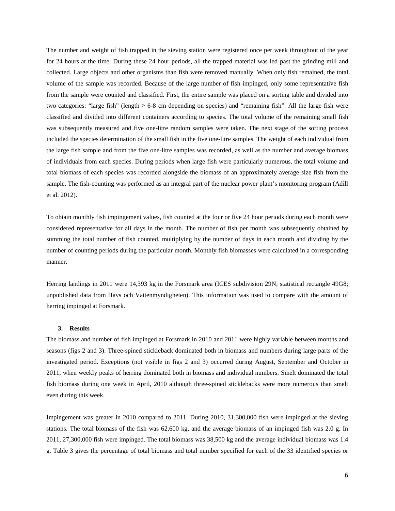The number and weight of fish trapped in the sieving station were registered once per week throughout of the year for 24 hours at the time. During these 24 hour periods, all the trapped material was led past the grinding mill and collected. Large objects and other organisms than fish were removed manually. When only fish remained, the total volume of the sample was recorded. Because of the large number of fish impinged, only some representative fish from the sample were counted and classified. First, the entire sample was placed on a sorting table and divided into two categories: "large fish" (length  $\geq 6-8$  cm depending on species) and "remaining fish". All the large fish were classified and divided into different containers according to species. The total volume of the remaining small fish was subsequently measured and five one-litre random samples were taken. The next stage of the sorting process included the species determination of the small fish in the five one-litre samples. The weight of each individual from the large fish sample and from the five one-litre samples was recorded, as well as the number and average biomass of individuals from each species. During periods when large fish were particularly numerous, the total volume and total biomass of each species was recorded alongside the biomass of an approximately average size fish from the sample. The fish-counting was performed as an integral part of the nuclear power plant's monitoring program (Adill et al. 2012).

To obtain monthly fish impingement values, fish counted at the four or five 24 hour periods during each month were considered representative for all days in the month. The number of fish per month was subsequently obtained by summing the total number of fish counted, multiplying by the number of days in each month and dividing by the number of counting periods during the particular month. Monthly fish biomasses were calculated in a corresponding manner.

Herring landings in 2011 were 14,393 kg in the Forsmark area (ICES subdivision 29N, statistical rectangle 49G8; unpublished data from Havs och Vattenmyndigheten). This information was used to compare with the amount of herring impinged at Forsmark.

#### **3. Results**

The biomass and number of fish impinged at Forsmark in 2010 and 2011 were highly variable between months and seasons (figs 2 and 3). Three-spined stickleback dominated both in biomass and numbers during large parts of the investigated period. Exceptions (not visible in figs 2 and 3) occurred during August, September and October in 2011, when weekly peaks of herring dominated both in biomass and individual numbers. Smelt dominated the total fish biomass during one week in April, 2010 although three-spined sticklebacks were more numerous than smelt even during this week.

Impingement was greater in 2010 compared to 2011. During 2010, 31,300,000 fish were impinged at the sieving stations. The total biomass of the fish was 62,600 kg, and the average biomass of an impinged fish was 2.0 g. In 2011, 27,300,000 fish were impinged. The total biomass was 38,500 kg and the average individual biomass was 1.4 g. Table 3 gives the percentage of total biomass and total number specified for each of the 33 identified species or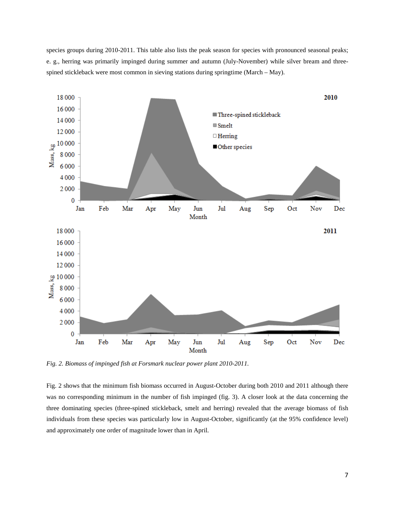species groups during 2010-2011. This table also lists the peak season for species with pronounced seasonal peaks; e. g., herring was primarily impinged during summer and autumn (July-November) while silver bream and threespined stickleback were most common in sieving stations during springtime (March – May).



*Fig. 2. Biomass of impinged fish at Forsmark nuclear power plant 2010-2011.*

Fig. 2 shows that the minimum fish biomass occurred in August-October during both 2010 and 2011 although there was no corresponding minimum in the number of fish impinged (fig. 3). A closer look at the data concerning the three dominating species (three-spined stickleback, smelt and herring) revealed that the average biomass of fish individuals from these species was particularly low in August-October, significantly (at the 95% confidence level) and approximately one order of magnitude lower than in April.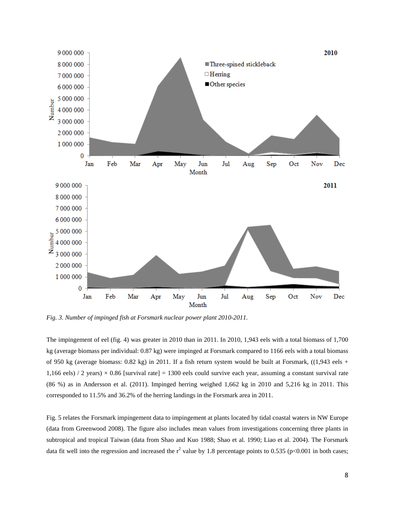

*Fig. 3. Number of impinged fish at Forsmark nuclear power plant 2010-2011.*

The impingement of eel (fig. 4) was greater in 2010 than in 2011. In 2010, 1,943 eels with a total biomass of 1,700 kg (average biomass per individual: 0.87 kg) were impinged at Forsmark compared to 1166 eels with a total biomass of 950 kg (average biomass:  $0.82$  kg) in 2011. If a fish return system would be built at Forsmark,  $((1,943 \text{ eels } +$ 1,166 eels) / 2 years)  $\times$  0.86 [survival rate] = 1300 eels could survive each year, assuming a constant survival rate (86 %) as in Andersson et al. (2011). Impinged herring weighed 1,662 kg in 2010 and 5,216 kg in 2011. This corresponded to 11.5% and 36.2% of the herring landings in the Forsmark area in 2011.

Fig. 5 relates the Forsmark impingement data to impingement at plants located by tidal coastal waters in NW Europe (data from Greenwood 2008). The figure also includes mean values from investigations concerning three plants in subtropical and tropical Taiwan (data from Shao and Kuo 1988; Shao et al. 1990; Liao et al. 2004). The Forsmark data fit well into the regression and increased the  $r^2$  value by 1.8 percentage points to 0.535 (p<0.001 in both cases;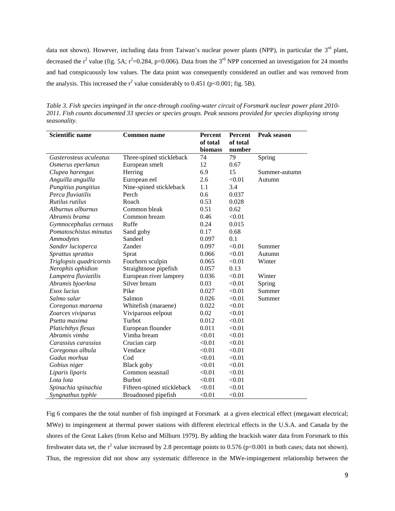data not shown). However, including data from Taiwan's nuclear power plants (NPP), in particular the  $3<sup>rd</sup>$  plant, decreased the  $r^2$  value (fig. 5A;  $r^2$ =0.284, p=0.006). Data from the 3<sup>rd</sup> NPP concerned an investigation for 24 months and had conspicuously low values. The data point was consequently considered an outlier and was removed from the analysis. This increased the  $r^2$  value considerably to 0.451 (p<0.001; fig. 5B).

*Table 3. Fish species impinged in the once-through cooling-water circuit of Forsmark nuclear power plant 2010- 2011. Fish counts documented 33 species or species groups. Peak seasons provided for species displaying strong seasonality.*

| <b>Scientific name</b>  | <b>Common name</b>         | <b>Percent</b> | <b>Percent</b> | <b>Peak season</b> |
|-------------------------|----------------------------|----------------|----------------|--------------------|
|                         |                            | of total       | of total       |                    |
|                         |                            | biomass        | number         |                    |
| Gasterosteus aculeatus  | Three-spined stickleback   | 74             | 79             | Spring             |
| Osmerus eperlanus       | European smelt             | 12             | 0.67           |                    |
| Clupea harengus         | Herring                    | 6.9            | 15             | Summer-autumn      |
| Anguilla anguilla       | European eel               | 2.6            | < 0.01         | Autumn             |
| Pungitius pungitius     | Nine-spined stickleback    | 1.1            | 3.4            |                    |
| Perca fluviatilis       | Perch                      | 0.6            | 0.037          |                    |
| Rutilus rutilus         | Roach                      | 0.53           | 0.028          |                    |
| Alburnus alburnus       | Common bleak               | 0.51           | 0.62           |                    |
| Abramis brama           | Common bream               | 0.46           | < 0.01         |                    |
| Gymnocephalus cernuus   | Ruffe                      | 0.24           | 0.015          |                    |
| Pomatoschistus minutus  | Sand goby                  | 0.17           | 0.68           |                    |
| Ammodytes               | Sandeel                    | 0.097          | 0.1            |                    |
| Sander lucioperca       | Zander                     | 0.097          | < 0.01         | Summer             |
| Sprattus sprattus       | Sprat                      | 0.066          | < 0.01         | Autumn             |
| Triglopsis quadricornis | Fourhorn sculpin           | 0.065          | < 0.01         | Winter             |
| Nerophis ophidion       | Straightnose pipefish      | 0.057          | 0.13           |                    |
| Lampetra fluviatilis    | European river lamprey     | 0.036          | < 0.01         | Winter             |
| Abramis bjoerkna        | Silver bream               | 0.03           | < 0.01         | Spring             |
| Esox lucius             | Pike                       | 0.027          | < 0.01         | Summer             |
| Salmo salar             | Salmon                     | 0.026          | < 0.01         | Summer             |
| Coregonus maraena       | Whitefish (maraene)        | 0.022          | < 0.01         |                    |
| Zoarces viviparus       | Viviparous eelpout         | 0.02           | < 0.01         |                    |
| Psetta maxima           | Turbot                     | 0.012          | < 0.01         |                    |
| Platichthys flesus      | European flounder          | 0.011          | < 0.01         |                    |
| Abramis vimba           | Vimba bream                | < 0.01         | < 0.01         |                    |
| Carassius carassius     | Crucian carp               | < 0.01         | < 0.01         |                    |
| Coregonus albula        | Vendace                    | < 0.01         | < 0.01         |                    |
| Gadus morhua            | Cod                        | < 0.01         | < 0.01         |                    |
| Gobius niger            | <b>Black</b> goby          | < 0.01         | < 0.01         |                    |
| Liparis liparis         | Common seasnail            | < 0.01         | < 0.01         |                    |
| Lota lota               | <b>Burbot</b>              | < 0.01         | < 0.01         |                    |
| Spinachia spinachia     | Fifteen-spined stickleback | < 0.01         | < 0.01         |                    |
| Syngnathus typhle       | Broadnosed pipefish        | < 0.01         | < 0.01         |                    |

Fig 6 compares the the total number of fish impinged at Forsmark at a given electrical effect (megawatt electrical; MWe) to impingement at thermal power stations with different electrical effects in the U.S.A. and Canada by the shores of the Great Lakes (from Kelso and Milburn 1979). By adding the brackish water data from Forsmark to this freshwater data set, the  $r^2$  value increased by 2.8 percentage points to 0.576 (p<0.001 in both cases; data not shown). Thus, the regression did not show any systematic difference in the MWe-impingement relationship between the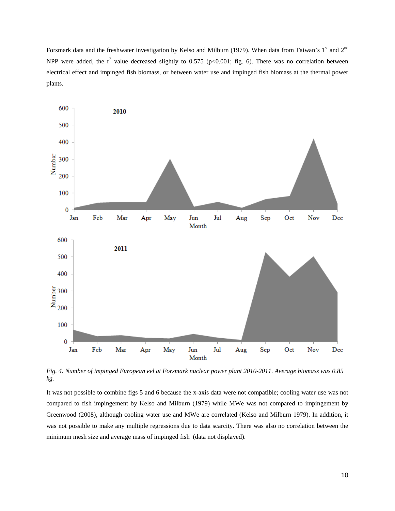Forsmark data and the freshwater investigation by Kelso and Milburn (1979). When data from Taiwan's 1<sup>st</sup> and 2<sup>nd</sup> NPP were added, the  $r^2$  value decreased slightly to 0.575 (p<0.001; fig. 6). There was no correlation between electrical effect and impinged fish biomass, or between water use and impinged fish biomass at the thermal power plants.



*Fig. 4. Number of impinged European eel at Forsmark nuclear power plant 2010-2011. Average biomass was 0.85 kg.*

It was not possible to combine figs 5 and 6 because the x-axis data were not compatible; cooling water use was not compared to fish impingement by Kelso and Milburn (1979) while MWe was not compared to impingement by Greenwood (2008), although cooling water use and MWe are correlated (Kelso and Milburn 1979). In addition, it was not possible to make any multiple regressions due to data scarcity. There was also no correlation between the minimum mesh size and average mass of impinged fish (data not displayed).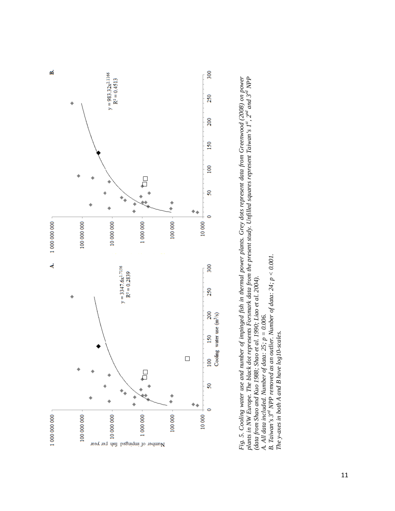

Fig. 5. Cooling water use and number of impinged fish in thermal power plants. Grey dots represent data from Greenwood (2008) on power<br>plants in NW Europe. The black dot represents Forsmark data from the present study. Unf *Fig. 5. Cooling water use and number of impinged fish in thermal power plants. Grey dots represent data from Greenwood (2008) on power plants in NW Europe. The black dot represents Forsmark data from the present study. Unfilled squares represent Taiwan's 1st, 2nd and 3rd NPP*  **B.** Taiwan's  $3^{rd}$  *NPP removed as an outlier. Number of data:*  $24$ ;  $p < 0.001$ . B. Taiwan's 3<sup>rd</sup> NPP removed as an outlier. Number of data:  $24$ ;  $p < 0.001$ . *(data from Shao and Kuo 1988; Shao et al. 1990; Liao et al. 2004).*  (data from Shao and Kuo 1988; Shao et al. 1990; Liao et al. 2004). A. All data included. Number of data:  $25$ ;  $p = 0.006$ . *A. All data included. Number of data: 25; p = 0.006.* 

*The y-axes in both A and B have log10-scales.*

The y-axes in both A and B have log 10-scales.

11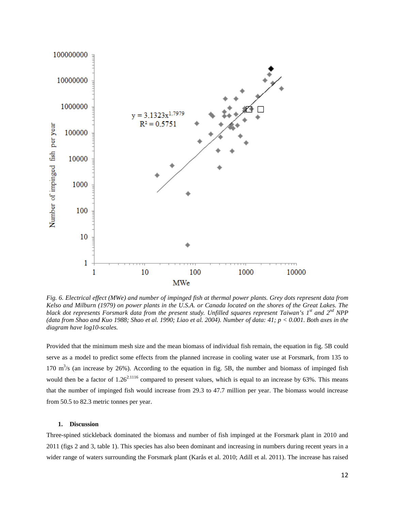

*Fig. 6. Electrical effect (MWe) and number of impinged fish at thermal power plants. Grey dots represent data from Kelso and Milburn (1979) on power plants in the U.S.A. or Canada located on the shores of the Great Lakes. The black dot represents Forsmark data from the present study. Unfilled squares represent Taiwan's 1st and 2nd NPP (data from Shao and Kuo 1988; Shao et al. 1990; Liao et al. 2004). Number of data: 41; p < 0.001. Both axes in the diagram have log10-scales.*

Provided that the minimum mesh size and the mean biomass of individual fish remain, the equation in fig. 5B could serve as a model to predict some effects from the planned increase in cooling water use at Forsmark, from 135 to 170  $\text{m}^3$ /s (an increase by 26%). According to the equation in fig. 5B, the number and biomass of impinged fish would then be a factor of  $1.26^{2.1116}$  compared to present values, which is equal to an increase by 63%. This means that the number of impinged fish would increase from 29.3 to 47.7 million per year. The biomass would increase from 50.5 to 82.3 metric tonnes per year.

#### **1. Discussion**

Three-spined stickleback dominated the biomass and number of fish impinged at the Forsmark plant in 2010 and 2011 (figs 2 and 3, table 1). This species has also been dominant and increasing in numbers during recent years in a wider range of waters surrounding the Forsmark plant (Karås et al. 2010; Adill et al. 2011). The increase has raised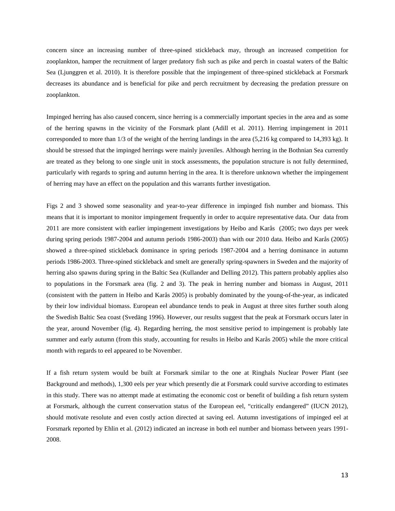concern since an increasing number of three-spined stickleback may, through an increased competition for zooplankton, hamper the recruitment of larger predatory fish such as pike and perch in coastal waters of the Baltic Sea (Ljunggren et al. 2010). It is therefore possible that the impingement of three-spined stickleback at Forsmark decreases its abundance and is beneficial for pike and perch recruitment by decreasing the predation pressure on zooplankton.

Impinged herring has also caused concern, since herring is a commercially important species in the area and as some of the herring spawns in the vicinity of the Forsmark plant (Adill et al. 2011). Herring impingement in 2011 corresponded to more than 1/3 of the weight of the herring landings in the area (5,216 kg compared to 14,393 kg). It should be stressed that the impinged herrings were mainly juveniles. Although herring in the Bothnian Sea currently are treated as they belong to one single unit in stock assessments, the population structure is not fully determined, particularly with regards to spring and autumn herring in the area. It is therefore unknown whether the impingement of herring may have an effect on the population and this warrants further investigation.

Figs 2 and 3 showed some seasonality and year-to-year difference in impinged fish number and biomass. This means that it is important to monitor impingement frequently in order to acquire representative data. Our data from 2011 are more consistent with earlier impingement investigations by Heibo and Karås (2005; two days per week during spring periods 1987-2004 and autumn periods 1986-2003) than with our 2010 data. Heibo and Karås (2005) showed a three-spined stickleback dominance in spring periods 1987-2004 and a herring dominance in autumn periods 1986-2003. Three-spined stickleback and smelt are generally spring-spawners in Sweden and the majority of herring also spawns during spring in the Baltic Sea (Kullander and Delling 2012). This pattern probably applies also to populations in the Forsmark area (fig. 2 and 3). The peak in herring number and biomass in August, 2011 (consistent with the pattern in Heibo and Karås 2005) is probably dominated by the young-of-the-year, as indicated by their low individual biomass. European eel abundance tends to peak in August at three sites further south along the Swedish Baltic Sea coast (Svedäng 1996). However, our results suggest that the peak at Forsmark occurs later in the year, around November (fig. 4). Regarding herring, the most sensitive period to impingement is probably late summer and early autumn (from this study, accounting for results in Heibo and Karås 2005) while the more critical month with regards to eel appeared to be November.

If a fish return system would be built at Forsmark similar to the one at Ringhals Nuclear Power Plant (see Background and methods), 1,300 eels per year which presently die at Forsmark could survive according to estimates in this study. There was no attempt made at estimating the economic cost or benefit of building a fish return system at Forsmark, although the current conservation status of the European eel, "critically endangered" (IUCN 2012), should motivate resolute and even costly action directed at saving eel. Autumn investigations of impinged eel at Forsmark reported by Ehlin et al. (2012) indicated an increase in both eel number and biomass between years 1991- 2008.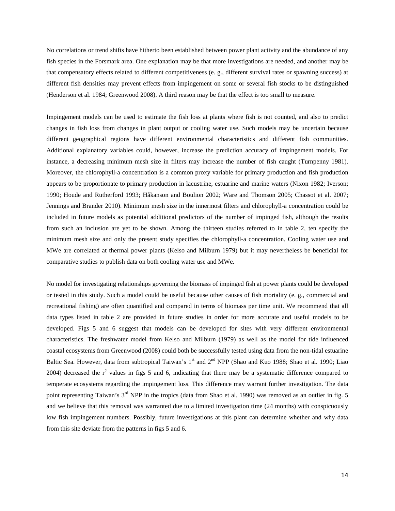No correlations or trend shifts have hitherto been established between power plant activity and the abundance of any fish species in the Forsmark area. One explanation may be that more investigations are needed, and another may be that compensatory effects related to different competitiveness (e. g., different survival rates or spawning success) at different fish densities may prevent effects from impingement on some or several fish stocks to be distinguished (Henderson et al. 1984; Greenwood 2008). A third reason may be that the effect is too small to measure.

Impingement models can be used to estimate the fish loss at plants where fish is not counted, and also to predict changes in fish loss from changes in plant output or cooling water use. Such models may be uncertain because different geographical regions have different environmental characteristics and different fish communities. Additional explanatory variables could, however, increase the prediction accuracy of impingement models. For instance, a decreasing minimum mesh size in filters may increase the number of fish caught (Turnpenny 1981). Moreover, the chlorophyll-a concentration is a common proxy variable for primary production and fish production appears to be proportionate to primary production in lacustrine, estuarine and marine waters (Nixon 1982; Iverson; 1990; Houde and Rutherford 1993; Håkanson and Boulion 2002; Ware and Thomson 2005; Chassot et al. 2007; Jennings and Brander 2010). Minimum mesh size in the innermost filters and chlorophyll-a concentration could be included in future models as potential additional predictors of the number of impinged fish, although the results from such an inclusion are yet to be shown. Among the thirteen studies referred to in table 2, ten specify the minimum mesh size and only the present study specifies the chlorophyll-a concentration. Cooling water use and MWe are correlated at thermal power plants (Kelso and Milburn 1979) but it may nevertheless be beneficial for comparative studies to publish data on both cooling water use and MWe.

No model for investigating relationships governing the biomass of impinged fish at power plants could be developed or tested in this study. Such a model could be useful because other causes of fish mortality (e. g., commercial and recreational fishing) are often quantified and compared in terms of biomass per time unit. We recommend that all data types listed in table 2 are provided in future studies in order for more accurate and useful models to be developed. Figs 5 and 6 suggest that models can be developed for sites with very different environmental characteristics. The freshwater model from Kelso and Milburn (1979) as well as the model for tide influenced coastal ecosystems from Greenwood (2008) could both be successfully tested using data from the non-tidal estuarine Baltic Sea. However, data from subtropical Taiwan's 1<sup>st</sup> and 2<sup>nd</sup> NPP (Shao and Kuo 1988; Shao et al. 1990; Liao 2004) decreased the  $r^2$  values in figs 5 and 6, indicating that there may be a systematic difference compared to temperate ecosystems regarding the impingement loss. This difference may warrant further investigation. The data point representing Taiwan's  $3<sup>rd</sup>$  NPP in the tropics (data from Shao et al. 1990) was removed as an outlier in fig. 5 and we believe that this removal was warranted due to a limited investigation time (24 months) with conspicuously low fish impingement numbers. Possibly, future investigations at this plant can determine whether and why data from this site deviate from the patterns in figs 5 and 6.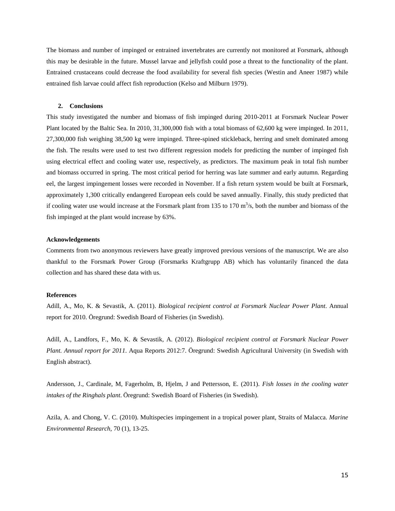The biomass and number of impinged or entrained invertebrates are currently not monitored at Forsmark, although this may be desirable in the future. Mussel larvae and jellyfish could pose a threat to the functionality of the plant. Entrained crustaceans could decrease the food availability for several fish species (Westin and Aneer 1987) while entrained fish larvae could affect fish reproduction (Kelso and Milburn 1979).

#### **2. Conclusions**

This study investigated the number and biomass of fish impinged during 2010-2011 at Forsmark Nuclear Power Plant located by the Baltic Sea. In 2010, 31,300,000 fish with a total biomass of 62,600 kg were impinged. In 2011, 27,300,000 fish weighing 38,500 kg were impinged. Three-spined stickleback, herring and smelt dominated among the fish. The results were used to test two different regression models for predicting the number of impinged fish using electrical effect and cooling water use, respectively, as predictors. The maximum peak in total fish number and biomass occurred in spring. The most critical period for herring was late summer and early autumn. Regarding eel, the largest impingement losses were recorded in November. If a fish return system would be built at Forsmark, approximately 1,300 critically endangered European eels could be saved annually. Finally, this study predicted that if cooling water use would increase at the Forsmark plant from 135 to 170  $\text{m}^3$ /s, both the number and biomass of the fish impinged at the plant would increase by 63%.

#### **Acknowledgements**

Comments from two anonymous reviewers have greatly improved previous versions of the manuscript. We are also thankful to the Forsmark Power Group (Forsmarks Kraftgrupp AB) which has voluntarily financed the data collection and has shared these data with us.

#### **References**

Adill, A., Mo, K. & Sevastik, A. (2011). *Biological recipient control at Forsmark Nuclear Power Plant*. Annual report for 2010. Öregrund: Swedish Board of Fisheries (in Swedish).

Adill, A., Landfors, F., Mo, K. & Sevastik, A. (2012). *Biological recipient control at Forsmark Nuclear Power Plant. Annual report for 2011*. Aqua Reports 2012:7. Öregrund: Swedish Agricultural University (in Swedish with English abstract).

Andersson, J., Cardinale, M, Fagerholm, B, Hjelm, J and Pettersson, E. (2011). *Fish losses in the cooling water intakes of the Ringhals plant*. Öregrund: Swedish Board of Fisheries (in Swedish).

Azila, A. and Chong, V. C. (2010). Multispecies impingement in a tropical power plant, Straits of Malacca. *Marine Environmental Research*, 70 (1), 13-25.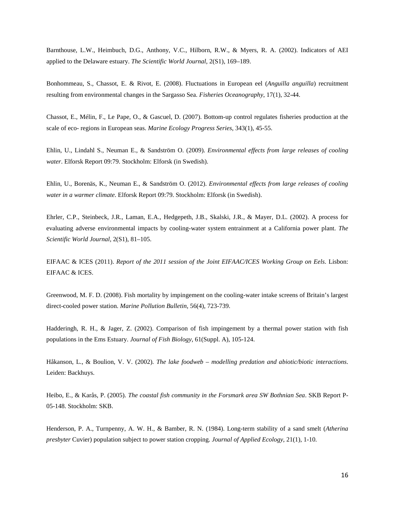Barnthouse, L.W., Heimbuch, D.G., Anthony, V.C., Hilborn, R.W., & Myers, R. A. (2002). Indicators of AEI applied to the Delaware estuary. *The Scientific World Journal*, 2(S1), 169–189.

Bonhommeau, S., Chassot, E. & Rivot, E. (2008). Fluctuations in European eel (*Anguilla anguilla*) recruitment resulting from environmental changes in the Sargasso Sea. *Fisheries Oceanography*, 17(1), 32-44.

Chassot, E., Mélin, F., Le Pape, O., & Gascuel, D. (2007). Bottom-up control regulates fisheries production at the scale of eco- regions in European seas. *Marine Ecology Progress Series*, 343(1), 45-55.

Ehlin, U., Lindahl S., Neuman E., & Sandström O. (2009). *Environmental effects from large releases of cooling water*. Elforsk Report 09:79. Stockholm: Elforsk (in Swedish).

Ehlin, U., Borenäs, K., Neuman E., & Sandström O. (2012). *Environmental effects from large releases of cooling water in a warmer climate*. Elforsk Report 09:79. Stockholm: Elforsk (in Swedish).

Ehrler, C.P., Steinbeck, J.R., Laman, E.A., Hedgepeth, J.B., Skalski, J.R., & Mayer, D.L. (2002). A process for evaluating adverse environmental impacts by cooling-water system entrainment at a California power plant. *The Scientific World Journal,* 2(S1), 81–105.

EIFAAC & ICES (2011). *Report of the 2011 session of the Joint EIFAAC/ICES Working Group on Eels*. Lisbon: EIFAAC & ICES.

Greenwood, M. F. D. (2008). Fish mortality by impingement on the cooling-water intake screens of Britain's largest direct-cooled power station. *Marine Pollution Bulletin*, 56(4), 723-739.

Hadderingh, R. H., & Jager, Z. (2002). Comparison of fish impingement by a thermal power station with fish populations in the Ems Estuary. *Journal of Fish Biology*, 61(Suppl. A), 105-124.

Håkanson, L., & Boulion, V. V. (2002). *The lake foodweb – modelling predation and abiotic/biotic interactions*. Leiden: Backhuys.

Heibo, E., & Karås, P. (2005). *The coastal fish community in the Forsmark area SW Bothnian Sea*. SKB Report P-05-148. Stockholm: SKB.

Henderson, P. A., Turnpenny, A. W. H., & Bamber, R. N. (1984). Long-term stability of a sand smelt (*Atherina presbyter* Cuvier) population subject to power station cropping. *Journal of Applied Ecology*, 21(1), 1-10.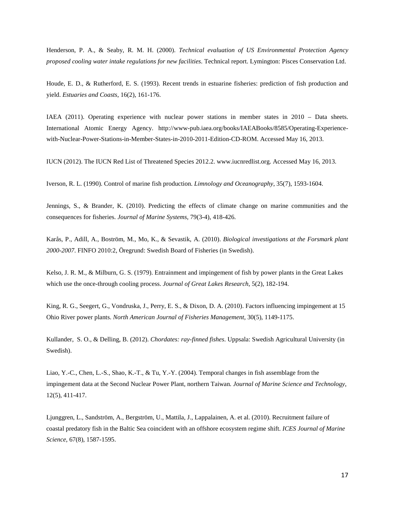Henderson, P. A., & Seaby, R. M. H. (2000). *Technical evaluation of US Environmental Protection Agency proposed cooling water intake regulations for new facilities*. Technical report. Lymington: Pisces Conservation Ltd.

Houde, E. D., & Rutherford, E. S. (1993). Recent trends in estuarine fisheries: prediction of fish production and yield. *Estuaries and Coasts*, 16(2), 161-176.

IAEA (2011). Operating experience with nuclear power stations in member states in 2010 – Data sheets. International Atomic Energy Agency. http://www-pub.iaea.org/books/IAEABooks/8585/Operating-Experiencewith-Nuclear-Power-Stations-in-Member-States-in-2010-2011-Edition-CD-ROM. Accessed May 16, 2013.

IUCN (2012). The IUCN Red List of Threatened Species 2012.2. www.iucnredlist.org. Accessed May 16, 2013.

Iverson, R. L. (1990). Control of marine fish production. *Limnology and Oceanography*, 35(7), 1593-1604.

Jennings, S., & Brander, K. (2010). Predicting the effects of climate change on marine communities and the consequences for fisheries. *Journal of Marine Systems*, 79(3-4), 418-426.

Karås, P., Adill, A., Boström, M., Mo, K., & Sevastik, A. (2010). *Biological investigations at the Forsmark plant 2000-2007*. FINFO 2010:2, Öregrund: Swedish Board of Fisheries (in Swedish).

Kelso, J. R. M., & Milburn, G. S. (1979). Entrainment and impingement of fish by power plants in the Great Lakes which use the once-through cooling process. *Journal of Great Lakes Research*, 5(2), 182-194.

King, R. G., Seegert, G., Vondruska, J., Perry, E. S., & Dixon, D. A. (2010). Factors influencing impingement at 15 Ohio River power plants. *North American Journal of Fisheries Management*, 30(5), 1149-1175.

Kullander, S. O., & Delling, B. (2012). *Chordates: ray-finned fishes*. Uppsala: Swedish Agricultural University (in Swedish).

Liao, Y.-C., Chen, L.-S., Shao, K.-T., & Tu, Y.-Y. (2004). Temporal changes in fish assemblage from the impingement data at the Second Nuclear Power Plant, northern Taiwan*. Journal of Marine Science and Technology*, 12(5), 411-417.

Ljunggren, L., Sandström, A., Bergström, U., Mattila, J., Lappalainen, A. et al. (2010). Recruitment failure of coastal predatory fish in the Baltic Sea coincident with an offshore ecosystem regime shift. *ICES Journal of Marine Science*, 67(8), 1587-1595.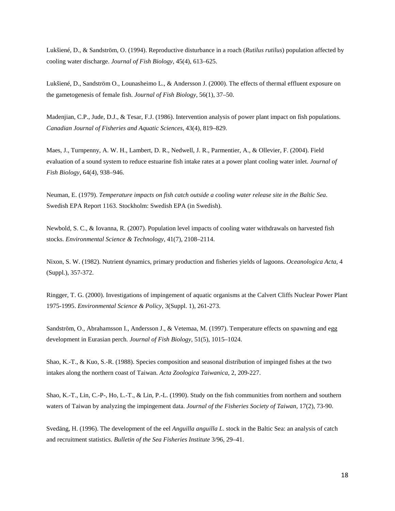Lukšiené, D., & Sandström, O. (1994). Reproductive disturbance in a roach (*Rutilus rutilus*) population affected by cooling water discharge. *Journal of Fish Biology*, 45(4), 613–625.

Lukšiené, D., Sandström O., Lounasheimo L., & Andersson J. (2000). The effects of thermal effluent exposure on the gametogenesis of female fish. *Journal of Fish Biology*, 56(1), 37–50.

Madenjian, C.P., Jude, D.J., & Tesar, F.J. (1986). Intervention analysis of power plant impact on fish populations. *Canadian Journal of Fisheries and Aquatic Sciences*, 43(4), 819–829.

Maes, J., Turnpenny, A. W. H., Lambert, D. R., Nedwell, J. R., Parmentier, A., & Ollevier, F. (2004). Field evaluation of a sound system to reduce estuarine fish intake rates at a power plant cooling water inlet. *Journal of Fish Biology*, 64(4), 938–946.

Neuman, E. (1979). *Temperature impacts on fish catch outside a cooling water release site in the Baltic Sea*. Swedish EPA Report 1163. Stockholm: Swedish EPA (in Swedish).

Newbold, S. C., & Iovanna, R. (2007). Population level impacts of cooling water withdrawals on harvested fish stocks. *Environmental Science & Technology*, 41(7), 2108–2114.

Nixon, S. W. (1982). Nutrient dynamics, primary production and fisheries yields of lagoons. *Oceanologica Acta*, 4 (Suppl.), 357-372.

Ringger, T. G. (2000). Investigations of impingement of aquatic organisms at the Calvert Cliffs Nuclear Power Plant 1975-1995. *Environmental Science & Policy*, 3(Suppl. 1), 261-273.

Sandström, O., Abrahamsson I., Andersson J., & Vetemaa, M. (1997). Temperature effects on spawning and egg development in Eurasian perch. *Journal of Fish Biology*, 51(5), 1015–1024.

Shao, K.-T., & Kuo, S.-R. (1988). Species composition and seasonal distribution of impinged fishes at the two intakes along the northern coast of Taiwan. *Acta Zoologica Taiwanica*, 2, 209-227.

Shao, K.-T., Lin, C.-P-, Ho, L.-T., & Lin, P.-L. (1990). Study on the fish communities from northern and southern waters of Taiwan by analyzing the impingement data. *Journal of the Fisheries Society of Taiwan*, 17(2), 73-90.

Svedäng, H. (1996). The development of the eel *Anguilla anguilla L*. stock in the Baltic Sea: an analysis of catch and recruitment statistics. *Bulletin of the Sea Fisheries Institute* 3/96, 29–41.